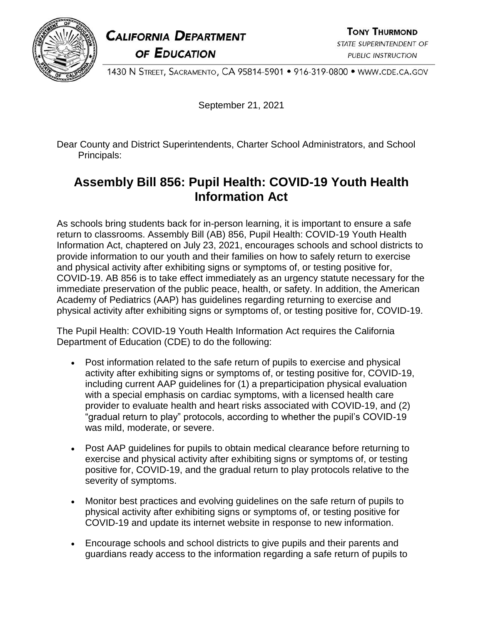## **CALIFORNIA DEPARTMENT** OF EDUCATION

1430 N STREET, SACRAMENTO, CA 95814-5901 · 916-319-0800 · WWW.CDE.CA.GOV

September 21, 2021

Dear County and District Superintendents, Charter School Administrators, and School Principals:

## **Assembly Bill 856: Pupil Health: COVID-19 Youth Health Information Act**

As schools bring students back for in-person learning, it is important to ensure a safe return to classrooms. Assembly Bill (AB) 856, Pupil Health: COVID-19 Youth Health Information Act, chaptered on July 23, 2021, encourages schools and school districts to provide information to our youth and their families on how to safely return to exercise and physical activity after exhibiting signs or symptoms of, or testing positive for, COVID-19. AB 856 is to take effect immediately as an urgency statute necessary for the immediate preservation of the public peace, health, or safety. In addition, the American Academy of Pediatrics (AAP) has guidelines regarding returning to exercise and physical activity after exhibiting signs or symptoms of, or testing positive for, COVID-19.

The Pupil Health: COVID-19 Youth Health Information Act requires the California Department of Education (CDE) to do the following:

- Post information related to the safe return of pupils to exercise and physical activity after exhibiting signs or symptoms of, or testing positive for, COVID-19, including current AAP guidelines for (1) a preparticipation physical evaluation with a special emphasis on cardiac symptoms, with a licensed health care provider to evaluate health and heart risks associated with COVID-19, and (2) "gradual return to play" protocols, according to whether the pupil's COVID-19 was mild, moderate, or severe.
- Post AAP guidelines for pupils to obtain medical clearance before returning to exercise and physical activity after exhibiting signs or symptoms of, or testing positive for, COVID-19, and the gradual return to play protocols relative to the severity of symptoms.
- Monitor best practices and evolving guidelines on the safe return of pupils to physical activity after exhibiting signs or symptoms of, or testing positive for COVID-19 and update its internet website in response to new information.
- Encourage schools and school districts to give pupils and their parents and guardians ready access to the information regarding a safe return of pupils to